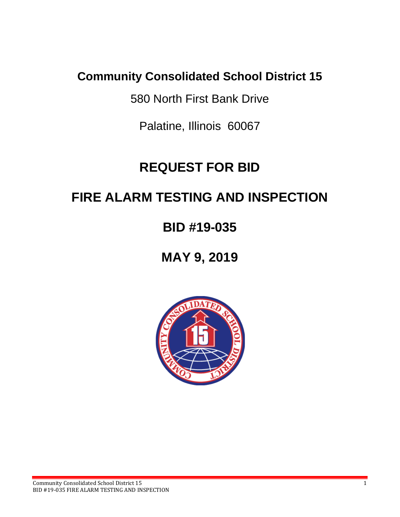# **Community Consolidated School District 15**

580 North First Bank Drive

Palatine, Illinois 60067

# **REQUEST FOR BID**

# **FIRE ALARM TESTING AND INSPECTION**

# **BID #19-035**

**MAY 9, 2019**

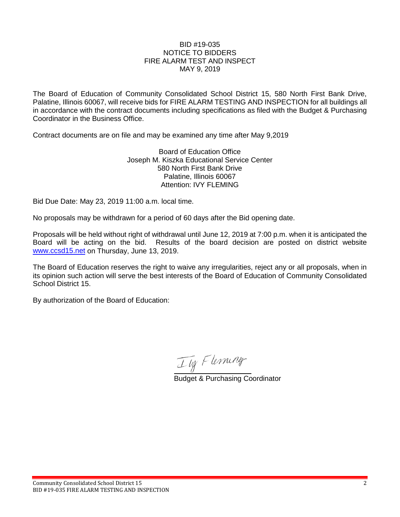#### BID #19-035 NOTICE TO BIDDERS FIRE ALARM TEST AND INSPECT MAY 9, 2019

The Board of Education of Community Consolidated School District 15, 580 North First Bank Drive, Palatine, Illinois 60067, will receive bids for FIRE ALARM TESTING AND INSPECTION for all buildings all in accordance with the contract documents including specifications as filed with the Budget & Purchasing Coordinator in the Business Office.

Contract documents are on file and may be examined any time after May 9,2019

Board of Education Office Joseph M. Kiszka Educational Service Center 580 North First Bank Drive Palatine, Illinois 60067 Attention: IVY FLEMING

Bid Due Date: May 23, 2019 11:00 a.m. local time.

No proposals may be withdrawn for a period of 60 days after the Bid opening date.

Proposals will be held without right of withdrawal until June 12, 2019 at 7:00 p.m. when it is anticipated the Board will be acting on the bid. Results of the board decision are posted on district website [www.ccsd15.net](http://www.ccsd15.net/) on Thursday, June 13, 2019.

The Board of Education reserves the right to waive any irregularities, reject any or all proposals, when in its opinion such action will serve the best interests of the Board of Education of Community Consolidated School District 15.

By authorization of the Board of Education:

Tty Flerming

Budget & Purchasing Coordinator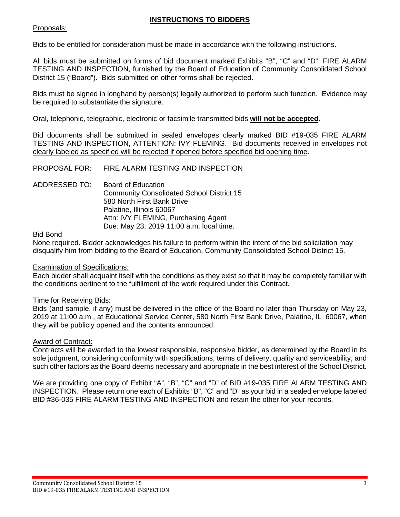# **INSTRUCTIONS TO BIDDERS**

# Proposals:

Bids to be entitled for consideration must be made in accordance with the following instructions.

All bids must be submitted on forms of bid document marked Exhibits "B", "C" and "D", FIRE ALARM TESTING AND INSPECTION, furnished by the Board of Education of Community Consolidated School District 15 ("Board"). Bids submitted on other forms shall be rejected.

Bids must be signed in longhand by person(s) legally authorized to perform such function. Evidence may be required to substantiate the signature.

Oral, telephonic, telegraphic, electronic or facsimile transmitted bids **will not be accepted**.

Bid documents shall be submitted in sealed envelopes clearly marked BID #19-035 FIRE ALARM TESTING AND INSPECTION, ATTENTION: IVY FLEMING. Bid documents received in envelopes not clearly labeled as specified will be rejected if opened before specified bid opening time.

PROPOSAL FOR: FIRE ALARM TESTING AND INSPECTION

ADDRESSED TO: Board of Education Community Consolidated School District 15 580 North First Bank Drive Palatine, Illinois 60067 Attn: IVY FLEMING, Purchasing Agent Due: May 23, 2019 11:00 a.m. local time.

# Bid Bond

None required. Bidder acknowledges his failure to perform within the intent of the bid solicitation may disqualify him from bidding to the Board of Education, Community Consolidated School District 15.

### Examination of Specifications:

Each bidder shall acquaint itself with the conditions as they exist so that it may be completely familiar with the conditions pertinent to the fulfillment of the work required under this Contract.

### Time for Receiving Bids:

Bids (and sample, if any) must be delivered in the office of the Board no later than Thursday on May 23, 2019 at 11:00 a.m., at Educational Service Center, 580 North First Bank Drive, Palatine, IL 60067, when they will be publicly opened and the contents announced.

### Award of Contract:

Contracts will be awarded to the lowest responsible, responsive bidder, as determined by the Board in its sole judgment, considering conformity with specifications, terms of delivery, quality and serviceability, and such other factors as the Board deems necessary and appropriate in the best interest of the School District.

We are providing one copy of Exhibit "A", "B", "C" and "D" of BID #19-035 FIRE ALARM TESTING AND INSPECTION. Please return one each of Exhibits "B", "C" and "D" as your bid in a sealed envelope labeled BID #36-035 FIRE ALARM TESTING AND INSPECTION and retain the other for your records.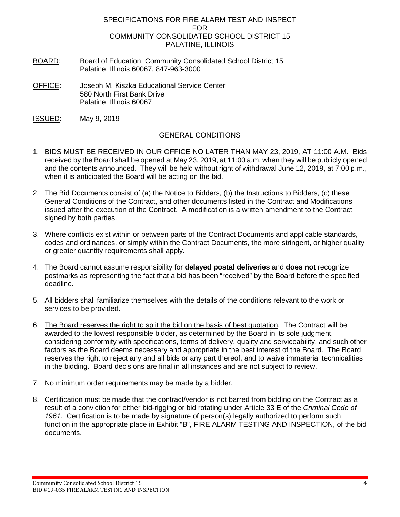#### SPECIFICATIONS FOR FIRE ALARM TEST AND INSPECT FOR COMMUNITY CONSOLIDATED SCHOOL DISTRICT 15 PALATINE, ILLINOIS

- BOARD: Board of Education, Community Consolidated School District 15 Palatine, Illinois 60067, 847-963-3000
- OFFICE: Joseph M. Kiszka Educational Service Center 580 North First Bank Drive Palatine, Illinois 60067
- ISSUED: May 9, 2019

# GENERAL CONDITIONS

- 1. BIDS MUST BE RECEIVED IN OUR OFFICE NO LATER THAN MAY 23, 2019, AT 11:00 A.M. Bids received by the Board shall be opened at May 23, 2019, at 11:00 a.m. when they will be publicly opened and the contents announced. They will be held without right of withdrawal June 12, 2019, at 7:00 p.m., when it is anticipated the Board will be acting on the bid.
- 2. The Bid Documents consist of (a) the Notice to Bidders, (b) the Instructions to Bidders, (c) these General Conditions of the Contract, and other documents listed in the Contract and Modifications issued after the execution of the Contract. A modification is a written amendment to the Contract signed by both parties.
- 3. Where conflicts exist within or between parts of the Contract Documents and applicable standards, codes and ordinances, or simply within the Contract Documents, the more stringent, or higher quality or greater quantity requirements shall apply.
- 4. The Board cannot assume responsibility for **delayed postal deliveries** and **does not** recognize postmarks as representing the fact that a bid has been "received" by the Board before the specified deadline.
- 5. All bidders shall familiarize themselves with the details of the conditions relevant to the work or services to be provided.
- 6. The Board reserves the right to split the bid on the basis of best quotation. The Contract will be awarded to the lowest responsible bidder, as determined by the Board in its sole judgment, considering conformity with specifications, terms of delivery, quality and serviceability, and such other factors as the Board deems necessary and appropriate in the best interest of the Board. The Board reserves the right to reject any and all bids or any part thereof, and to waive immaterial technicalities in the bidding. Board decisions are final in all instances and are not subject to review.
- 7. No minimum order requirements may be made by a bidder.
- 8. Certification must be made that the contract/vendor is not barred from bidding on the Contract as a result of a conviction for either bid-rigging or bid rotating under Article 33 E of the *Criminal Code of 1961*. Certification is to be made by signature of person(s) legally authorized to perform such function in the appropriate place in Exhibit "B", FIRE ALARM TESTING AND INSPECTION, of the bid documents.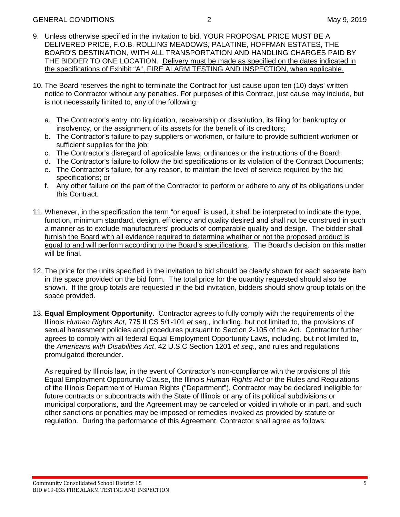- 9. Unless otherwise specified in the invitation to bid, YOUR PROPOSAL PRICE MUST BE A DELIVERED PRICE, F.O.B. ROLLING MEADOWS, PALATINE, HOFFMAN ESTATES, THE BOARD'S DESTINATION, WITH ALL TRANSPORTATION AND HANDLING CHARGES PAID BY THE BIDDER TO ONE LOCATION. Delivery must be made as specified on the dates indicated in the specifications of Exhibit "A", FIRE ALARM TESTING AND INSPECTION, when applicable.
- 10. The Board reserves the right to terminate the Contract for just cause upon ten (10) days' written notice to Contractor without any penalties. For purposes of this Contract, just cause may include, but is not necessarily limited to, any of the following:
	- a. The Contractor's entry into liquidation, receivership or dissolution, its filing for bankruptcy or insolvency, or the assignment of its assets for the benefit of its creditors;
	- b. The Contractor's failure to pay suppliers or workmen, or failure to provide sufficient workmen or sufficient supplies for the job:
	- c. The Contractor's disregard of applicable laws, ordinances or the instructions of the Board;
	- d. The Contractor's failure to follow the bid specifications or its violation of the Contract Documents;
	- e. The Contractor's failure, for any reason, to maintain the level of service required by the bid specifications; or
	- f. Any other failure on the part of the Contractor to perform or adhere to any of its obligations under this Contract.
- 11. Whenever, in the specification the term "or equal" is used, it shall be interpreted to indicate the type, function, minimum standard, design, efficiency and quality desired and shall not be construed in such a manner as to exclude manufacturers' products of comparable quality and design. The bidder shall furnish the Board with all evidence required to determine whether or not the proposed product is equal to and will perform according to the Board's specifications. The Board's decision on this matter will be final.
- 12. The price for the units specified in the invitation to bid should be clearly shown for each separate item in the space provided on the bid form. The total price for the quantity requested should also be shown. If the group totals are requested in the bid invitation, bidders should show group totals on the space provided.
- 13. **Equal Employment Opportunity.** Contractor agrees to fully comply with the requirements of the Illinois *Human Rights Act*, 775 ILCS 5/1-101 *et seq*., including, but not limited to, the provisions of sexual harassment policies and procedures pursuant to Section 2-105 of the Act. Contractor further agrees to comply with all federal Equal Employment Opportunity Laws, including, but not limited to, the *Americans with Disabilities Act*, 42 U.S.C Section 1201 *et seq*., and rules and regulations promulgated thereunder.

As required by Illinois law, in the event of Contractor's non-compliance with the provisions of this Equal Employment Opportunity Clause, the Illinois *Human Rights Act* or the Rules and Regulations of the Illinois Department of Human Rights ("Department"), Contractor may be declared ineligible for future contracts or subcontracts with the State of Illinois or any of its political subdivisions or municipal corporations, and the Agreement may be canceled or voided in whole or in part, and such other sanctions or penalties may be imposed or remedies invoked as provided by statute or regulation. During the performance of this Agreement, Contractor shall agree as follows: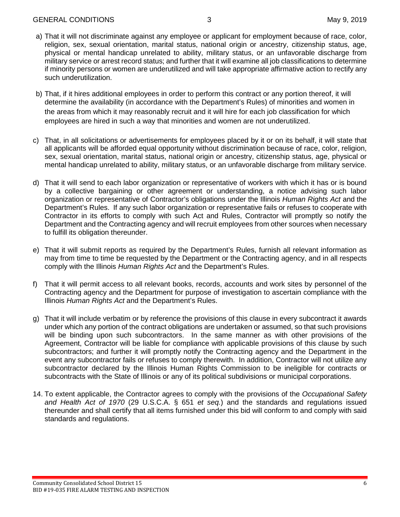#### GENERAL CONDITIONS 3 May 9, 2019

- a) That it will not discriminate against any employee or applicant for employment because of race, color, religion, sex, sexual orientation, marital status, national origin or ancestry, citizenship status, age, physical or mental handicap unrelated to ability, military status, or an unfavorable discharge from military service or arrest record status; and further that it will examine all job classifications to determine if minority persons or women are underutilized and will take appropriate affirmative action to rectify any such underutilization.
- b) That, if it hires additional employees in order to perform this contract or any portion thereof, it will determine the availability (in accordance with the Department's Rules) of minorities and women in the areas from which it may reasonably recruit and it will hire for each job classification for which employees are hired in such a way that minorities and women are not underutilized.
- c) That, in all solicitations or advertisements for employees placed by it or on its behalf, it will state that all applicants will be afforded equal opportunity without discrimination because of race, color, religion, sex, sexual orientation, marital status, national origin or ancestry, citizenship status, age, physical or mental handicap unrelated to ability, military status, or an unfavorable discharge from military service.
- d) That it will send to each labor organization or representative of workers with which it has or is bound by a collective bargaining or other agreement or understanding, a notice advising such labor organization or representative of Contractor's obligations under the Illinois *Human Rights Act* and the Department's Rules. If any such labor organization or representative fails or refuses to cooperate with Contractor in its efforts to comply with such Act and Rules, Contractor will promptly so notify the Department and the Contracting agency and will recruit employees from other sources when necessary to fulfill its obligation thereunder.
- e) That it will submit reports as required by the Department's Rules, furnish all relevant information as may from time to time be requested by the Department or the Contracting agency, and in all respects comply with the Illinois *Human Rights Act* and the Department's Rules.
- f) That it will permit access to all relevant books, records, accounts and work sites by personnel of the Contracting agency and the Department for purpose of investigation to ascertain compliance with the Illinois *Human Rights Act* and the Department's Rules.
- g) That it will include verbatim or by reference the provisions of this clause in every subcontract it awards under which any portion of the contract obligations are undertaken or assumed, so that such provisions will be binding upon such subcontractors. In the same manner as with other provisions of the Agreement, Contractor will be liable for compliance with applicable provisions of this clause by such subcontractors; and further it will promptly notify the Contracting agency and the Department in the event any subcontractor fails or refuses to comply therewith. In addition, Contractor will not utilize any subcontractor declared by the Illinois Human Rights Commission to be ineligible for contracts or subcontracts with the State of Illinois or any of its political subdivisions or municipal corporations.
- 14. To extent applicable, the Contractor agrees to comply with the provisions of the *Occupational Safety and Health Act of 1970* (29 U.S.C.A. § 651 *et seq.*) and the standards and regulations issued thereunder and shall certify that all items furnished under this bid will conform to and comply with said standards and regulations.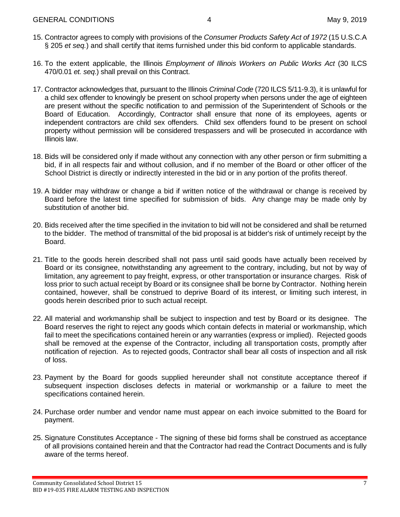- 15. Contractor agrees to comply with provisions of the *Consumer Products Safety Act of 1972* (15 U.S.C.A § 205 *et seq.*) and shall certify that items furnished under this bid conform to applicable standards.
- 16. To the extent applicable, the Illinois *Employment of Illinois Workers on Public Works Act* (30 ILCS 470/0.01 *et. seq*.) shall prevail on this Contract.
- 17. Contractor acknowledges that, pursuant to the Illinois *Criminal Code* (720 ILCS 5/11-9.3), it is unlawful for a child sex offender to knowingly be present on school property when persons under the age of eighteen are present without the specific notification to and permission of the Superintendent of Schools or the Board of Education. Accordingly, Contractor shall ensure that none of its employees, agents or independent contractors are child sex offenders. Child sex offenders found to be present on school property without permission will be considered trespassers and will be prosecuted in accordance with Illinois law.
- 18. Bids will be considered only if made without any connection with any other person or firm submitting a bid, if in all respects fair and without collusion, and if no member of the Board or other officer of the School District is directly or indirectly interested in the bid or in any portion of the profits thereof.
- 19. A bidder may withdraw or change a bid if written notice of the withdrawal or change is received by Board before the latest time specified for submission of bids. Any change may be made only by substitution of another bid.
- 20. Bids received after the time specified in the invitation to bid will not be considered and shall be returned to the bidder. The method of transmittal of the bid proposal is at bidder's risk of untimely receipt by the Board.
- 21. Title to the goods herein described shall not pass until said goods have actually been received by Board or its consignee, notwithstanding any agreement to the contrary, including, but not by way of limitation, any agreement to pay freight, express, or other transportation or insurance charges. Risk of loss prior to such actual receipt by Board or its consignee shall be borne by Contractor. Nothing herein contained, however, shall be construed to deprive Board of its interest, or limiting such interest, in goods herein described prior to such actual receipt.
- 22. All material and workmanship shall be subject to inspection and test by Board or its designee. The Board reserves the right to reject any goods which contain defects in material or workmanship, which fail to meet the specifications contained herein or any warranties (express or implied). Rejected goods shall be removed at the expense of the Contractor, including all transportation costs, promptly after notification of rejection. As to rejected goods, Contractor shall bear all costs of inspection and all risk of loss.
- 23. Payment by the Board for goods supplied hereunder shall not constitute acceptance thereof if subsequent inspection discloses defects in material or workmanship or a failure to meet the specifications contained herein.
- 24. Purchase order number and vendor name must appear on each invoice submitted to the Board for payment.
- 25. Signature Constitutes Acceptance The signing of these bid forms shall be construed as acceptance of all provisions contained herein and that the Contractor had read the Contract Documents and is fully aware of the terms hereof.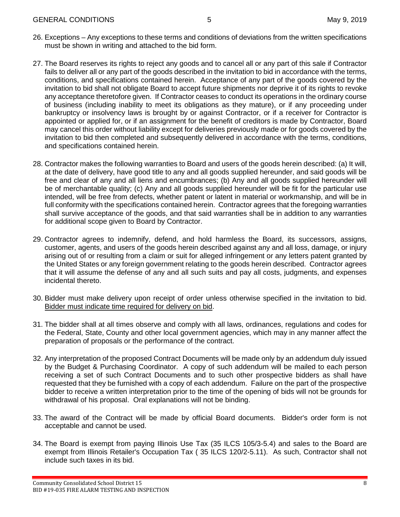- 26. Exceptions Any exceptions to these terms and conditions of deviations from the written specifications must be shown in writing and attached to the bid form.
- 27. The Board reserves its rights to reject any goods and to cancel all or any part of this sale if Contractor fails to deliver all or any part of the goods described in the invitation to bid in accordance with the terms, conditions, and specifications contained herein. Acceptance of any part of the goods covered by the invitation to bid shall not obligate Board to accept future shipments nor deprive it of its rights to revoke any acceptance theretofore given. If Contractor ceases to conduct its operations in the ordinary course of business (including inability to meet its obligations as they mature), or if any proceeding under bankruptcy or insolvency laws is brought by or against Contractor, or if a receiver for Contractor is appointed or applied for, or if an assignment for the benefit of creditors is made by Contractor, Board may cancel this order without liability except for deliveries previously made or for goods covered by the invitation to bid then completed and subsequently delivered in accordance with the terms, conditions, and specifications contained herein.
- 28. Contractor makes the following warranties to Board and users of the goods herein described: (a) It will, at the date of delivery, have good title to any and all goods supplied hereunder, and said goods will be free and clear of any and all liens and encumbrances; (b) Any and all goods supplied hereunder will be of merchantable quality; (c) Any and all goods supplied hereunder will be fit for the particular use intended, will be free from defects, whether patent or latent in material or workmanship, and will be in full conformity with the specifications contained herein. Contractor agrees that the foregoing warranties shall survive acceptance of the goods, and that said warranties shall be in addition to any warranties for additional scope given to Board by Contractor.
- 29. Contractor agrees to indemnify, defend, and hold harmless the Board, its successors, assigns, customer, agents, and users of the goods herein described against any and all loss, damage, or injury arising out of or resulting from a claim or suit for alleged infringement or any letters patent granted by the United States or any foreign government relating to the goods herein described. Contractor agrees that it will assume the defense of any and all such suits and pay all costs, judgments, and expenses incidental thereto.
- 30. Bidder must make delivery upon receipt of order unless otherwise specified in the invitation to bid. Bidder must indicate time required for delivery on bid.
- 31. The bidder shall at all times observe and comply with all laws, ordinances, regulations and codes for the Federal, State, County and other local government agencies, which may in any manner affect the preparation of proposals or the performance of the contract.
- 32. Any interpretation of the proposed Contract Documents will be made only by an addendum duly issued by the Budget & Purchasing Coordinator. A copy of such addendum will be mailed to each person receiving a set of such Contract Documents and to such other prospective bidders as shall have requested that they be furnished with a copy of each addendum. Failure on the part of the prospective bidder to receive a written interpretation prior to the time of the opening of bids will not be grounds for withdrawal of his proposal. Oral explanations will not be binding.
- 33. The award of the Contract will be made by official Board documents. Bidder's order form is not acceptable and cannot be used.
- 34. The Board is exempt from paying Illinois Use Tax (35 ILCS 105/3-5.4) and sales to the Board are exempt from Illinois Retailer's Occupation Tax ( 35 ILCS 120/2-5.11). As such, Contractor shall not include such taxes in its bid.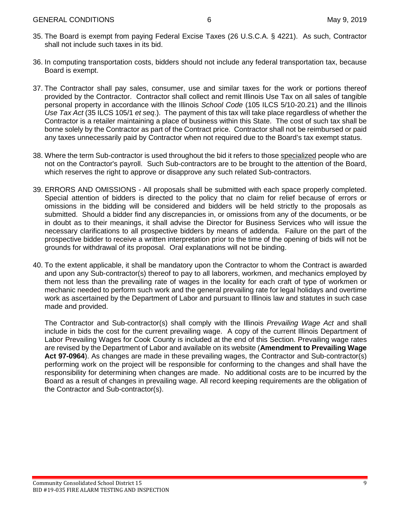- 35. The Board is exempt from paying Federal Excise Taxes (26 U.S.C.A. § 4221). As such, Contractor shall not include such taxes in its bid.
- 36. In computing transportation costs, bidders should not include any federal transportation tax, because Board is exempt.
- 37. The Contractor shall pay sales, consumer, use and similar taxes for the work or portions thereof provided by the Contractor. Contractor shall collect and remit Illinois Use Tax on all sales of tangible personal property in accordance with the Illinois *School Code* (105 ILCS 5/10-20.21) and the Illinois *Use Tax Act* (35 ILCS 105/1 *et seq*.). The payment of this tax will take place regardless of whether the Contractor is a retailer maintaining a place of business within this State. The cost of such tax shall be borne solely by the Contractor as part of the Contract price. Contractor shall not be reimbursed or paid any taxes unnecessarily paid by Contractor when not required due to the Board's tax exempt status.
- 38. Where the term Sub-contractor is used throughout the bid it refers to those specialized people who are not on the Contractor's payroll. Such Sub-contractors are to be brought to the attention of the Board, which reserves the right to approve or disapprove any such related Sub-contractors.
- 39. ERRORS AND OMISSIONS All proposals shall be submitted with each space properly completed. Special attention of bidders is directed to the policy that no claim for relief because of errors or omissions in the bidding will be considered and bidders will be held strictly to the proposals as submitted. Should a bidder find any discrepancies in, or omissions from any of the documents, or be in doubt as to their meanings, it shall advise the Director for Business Services who will issue the necessary clarifications to all prospective bidders by means of addenda. Failure on the part of the prospective bidder to receive a written interpretation prior to the time of the opening of bids will not be grounds for withdrawal of its proposal. Oral explanations will not be binding.
- 40. To the extent applicable, it shall be mandatory upon the Contractor to whom the Contract is awarded and upon any Sub-contractor(s) thereof to pay to all laborers, workmen, and mechanics employed by them not less than the prevailing rate of wages in the locality for each craft of type of workmen or mechanic needed to perform such work and the general prevailing rate for legal holidays and overtime work as ascertained by the Department of Labor and pursuant to Illinois law and statutes in such case made and provided.

The Contractor and Sub-contractor(s) shall comply with the Illinois *Prevailing Wage Act* and shall include in bids the cost for the current prevailing wage. A copy of the current Illinois Department of Labor Prevailing Wages for Cook County is included at the end of this Section. Prevailing wage rates are revised by the Department of Labor and available on its website (**Amendment to Prevailing Wage Act 97-0964**). As changes are made in these prevailing wages, the Contractor and Sub-contractor(s) performing work on the project will be responsible for conforming to the changes and shall have the responsibility for determining when changes are made. No additional costs are to be incurred by the Board as a result of changes in prevailing wage. All record keeping requirements are the obligation of the Contractor and Sub-contractor(s).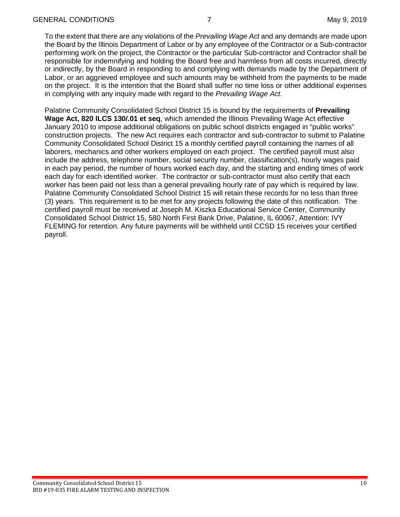To the extent that there are any violations of the *Prevailing Wage Act* and any demands are made upon the Board by the Illinois Department of Labor or by any employee of the Contractor or a Sub-contractor performing work on the project, the Contractor or the particular Sub-contractor and Contractor shall be responsible for indemnifying and holding the Board free and harmless from all costs incurred, directly or indirectly, by the Board in responding to and complying with demands made by the Department of Labor, or an aggrieved employee and such amounts may be withheld from the payments to be made on the project. It is the intention that the Board shall suffer no time loss or other additional expenses in complying with any inquiry made with regard to the *Prevailing Wage Act.*

Palatine Community Consolidated School District 15 is bound by the requirements of **Prevailing Wage Act, 820 lLCS 130/.01 et seq**, which amended the Illinois Prevailing Wage Act effective January 2010 to impose additional obligations on public school districts engaged in "public works" construction projects. The new Act requires each contractor and sub-contractor to submit to Palatine Community Consolidated School District 15 a monthly certified payroll containing the names of all laborers, mechanics and other workers employed on each project. The certified payroll must also include the address, telephone number, social security number, classification(s), hourly wages paid in each pay period, the number of hours worked each day, and the starting and ending times of work each day for each identified worker. The contractor or sub-contractor must also certify that each worker has been paid not less than a general prevailing hourly rate of pay which is required by law. Palatine Community Consolidated School District 15 will retain these records for no less than three (3) years. This requirement is to be met for any projects following the date of this notification. The certified payroll must be received at Joseph M. Kiszka Educational Service Center, Community Consolidated School District 15, 580 North First Bank Drive, Palatine, IL 60067, Attention: IVY FLEMING for retention. Any future payments will be withheld until CCSD 15 receives your certified payroll.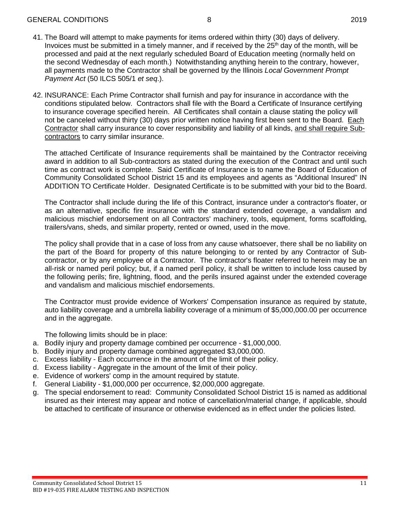#### GENERAL CONDITIONS 8 8 2019

- 41. The Board will attempt to make payments for items ordered within thirty (30) days of delivery. Invoices must be submitted in a timely manner, and if received by the  $25<sup>th</sup>$  day of the month, will be processed and paid at the next regularly scheduled Board of Education meeting (normally held on the second Wednesday of each month.) Notwithstanding anything herein to the contrary, however, all payments made to the Contractor shall be governed by the Illinois *Local Government Prompt Payment Act* (50 ILCS 505/1 *et seq*.).
- 42. INSURANCE: Each Prime Contractor shall furnish and pay for insurance in accordance with the conditions stipulated below. Contractors shall file with the Board a Certificate of Insurance certifying to insurance coverage specified herein. All Certificates shall contain a clause stating the policy will not be canceled without thirty (30) days prior written notice having first been sent to the Board. Each Contractor shall carry insurance to cover responsibility and liability of all kinds, and shall require Subcontractors to carry similar insurance.

The attached Certificate of Insurance requirements shall be maintained by the Contractor receiving award in addition to all Sub-contractors as stated during the execution of the Contract and until such time as contract work is complete. Said Certificate of Insurance is to name the Board of Education of Community Consolidated School District 15 and its employees and agents as "Additional Insured" IN ADDITION TO Certificate Holder. Designated Certificate is to be submitted with your bid to the Board.

The Contractor shall include during the life of this Contract, insurance under a contractor's floater, or as an alternative, specific fire insurance with the standard extended coverage, a vandalism and malicious mischief endorsement on all Contractors' machinery, tools, equipment, forms scaffolding, trailers/vans, sheds, and similar property, rented or owned, used in the move.

The policy shall provide that in a case of loss from any cause whatsoever, there shall be no liability on the part of the Board for property of this nature belonging to or rented by any Contractor of Subcontractor, or by any employee of a Contractor. The contractor's floater referred to herein may be an all-risk or named peril policy; but, if a named peril policy, it shall be written to include loss caused by the following perils; fire, lightning, flood, and the perils insured against under the extended coverage and vandalism and malicious mischief endorsements.

The Contractor must provide evidence of Workers' Compensation insurance as required by statute, auto liability coverage and a umbrella liability coverage of a minimum of \$5,000,000.00 per occurrence and in the aggregate.

The following limits should be in place:

- a. Bodily injury and property damage combined per occurrence \$1,000,000.
- b. Bodily injury and property damage combined aggregated \$3,000,000.
- c. Excess liability Each occurrence in the amount of the limit of their policy.
- d. Excess liability Aggregate in the amount of the limit of their policy.
- e. Evidence of workers' comp in the amount required by statute.
- f. General Liability \$1,000,000 per occurrence, \$2,000,000 aggregate.
- g. The special endorsement to read: Community Consolidated School District 15 is named as additional insured as their interest may appear and notice of cancellation/material change, if applicable, should be attached to certificate of insurance or otherwise evidenced as in effect under the policies listed.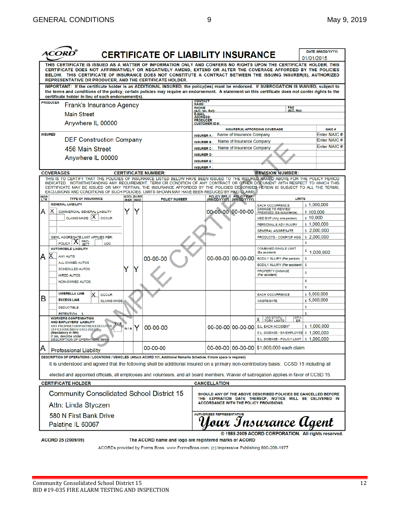|                                                                                                                                                                                                                                                                                                                                                                                                                  |                  | <b>CERTIFICATE OF LIABILITY INSURANCE</b>             |                                               |                                                        |                                                                                                                            |            | DATE (MM/DD/YYYY)          |
|------------------------------------------------------------------------------------------------------------------------------------------------------------------------------------------------------------------------------------------------------------------------------------------------------------------------------------------------------------------------------------------------------------------|------------------|-------------------------------------------------------|-----------------------------------------------|--------------------------------------------------------|----------------------------------------------------------------------------------------------------------------------------|------------|----------------------------|
|                                                                                                                                                                                                                                                                                                                                                                                                                  |                  |                                                       |                                               |                                                        |                                                                                                                            | 01/01/2015 |                            |
| THIS CERTIFICATE IS ISSUED AS A MATTER OF INFORMATION ONLY AND CONFERS NO RIGHTS UPON THE CERTIFICATE HOLDER. THIS<br>CERTIFICATE DOES NOT AFFIRMATIVELY OR NEGATIVELY AMEND, EXTEND OR ALTER THE COVERAGE AFFORDED BY THE POLICIES<br>BELOW. THIS CERTIFICATE OF INSURANCE DOES NOT CONSTITUTE A CONTRACT BETWEEN THE ISSUING INSURER(S), AUTHORIZED<br>REPRESENTATIVE OR PRODUCER, AND THE CERTIFICATE HOLDER. |                  |                                                       |                                               |                                                        |                                                                                                                            |            |                            |
| IMPORTANT: If the certificate holder is an ADDITIONAL INSURED, the policy(ies) must be endorsed. If SUBROGATION IS WAIVED, subject to<br>the terms and conditions of the policy, certain policies may require an endorsement. A statement on this certificate does not confer rights to the<br>certificate holder in lieu of such endorsement(s).                                                                |                  |                                                       |                                               |                                                        |                                                                                                                            |            |                            |
| <b>PRODUCER</b>                                                                                                                                                                                                                                                                                                                                                                                                  |                  |                                                       | <b>CONTACT<br/>NAME:</b>                      |                                                        |                                                                                                                            |            |                            |
| Frank's Insurance Agency                                                                                                                                                                                                                                                                                                                                                                                         |                  |                                                       | <b>PHONE</b><br>(A/C, No, Ext):<br>E-MAIL     |                                                        | FAX<br>(A/C, No):                                                                                                          |            |                            |
| <b>Main Street</b>                                                                                                                                                                                                                                                                                                                                                                                               |                  |                                                       | <b>ADDRESS:</b>                               |                                                        |                                                                                                                            |            |                            |
| Anywhere IL 00000                                                                                                                                                                                                                                                                                                                                                                                                |                  |                                                       | <b>PRODUCER</b><br><b>CUSTOMER ID#:</b>       |                                                        |                                                                                                                            |            |                            |
| <b>INSURED</b>                                                                                                                                                                                                                                                                                                                                                                                                   |                  |                                                       |                                               |                                                        | <b>INSURER(S) AFFORDING COVERAGE</b>                                                                                       |            | NAIC#<br>Enter NAIC #      |
| <b>DEF Construction Company</b>                                                                                                                                                                                                                                                                                                                                                                                  |                  |                                                       | <b>INSURER A:</b><br><b>INSURER B:</b>        | Name of Insurance Company<br>Name of Insurance Company |                                                                                                                            |            | Enter NAIC #               |
| 456 Main Street                                                                                                                                                                                                                                                                                                                                                                                                  |                  |                                                       | <b>INSURER C:</b>                             | Name of Insurance Company                              |                                                                                                                            |            | Enter NAIC#                |
|                                                                                                                                                                                                                                                                                                                                                                                                                  |                  |                                                       | <b>INSURER D:</b>                             |                                                        |                                                                                                                            |            |                            |
| Anywhere IL 00000                                                                                                                                                                                                                                                                                                                                                                                                |                  |                                                       | <b>INSURER E:</b>                             |                                                        |                                                                                                                            |            |                            |
|                                                                                                                                                                                                                                                                                                                                                                                                                  |                  |                                                       | <b>INSURER F:</b>                             |                                                        |                                                                                                                            |            |                            |
| <b>COVERAGES</b><br>THIS IS TO CERTIFY THAT THE POLICIES OF INSURANCE LISTED BELOW HAVE BEEN ISSUED TO THE INSURED NAMED ABOVE FOR THE POLICY PERIOD                                                                                                                                                                                                                                                             |                  | <b>CERTIFICATE NUMBER:</b>                            |                                               |                                                        | <b>REVISION NUMBER:</b>                                                                                                    |            |                            |
| INDICATED. NOTWITHSTANDING ANY REQUIREMENT, TERM OR CONDITION OF ANY CONTRACT OR OTHER DOCUMENT WITH RESPECT TO WHICH THIS<br>CERTIFICATE MAY BE ISSUED OR MAY PERTAIN, THE INSURANCE AFFORDED BY THE POLICIES DESCRIBED HEREIN IS SUBJECT TO ALL THE TERMS,                                                                                                                                                     |                  |                                                       |                                               |                                                        |                                                                                                                            |            |                            |
| EXCLUSIONS AND CONDITIONS OF SUCH POLICIES. LIMITS SHOWN MAY HAVE BEEN REDUCED BY PAID CLAIMS.<br><b>INSR</b><br>LTR<br><b>TYPE OF INSURANCE</b>                                                                                                                                                                                                                                                                 | <b>ADDL SUBR</b> | <b>POLICY NUMBER</b>                                  |                                               | POLICY EFF POLICY EXP<br>(MM/DD/YYYY) (MM/DD/YYYY)     | <b>LIMITS</b>                                                                                                              |            |                            |
| <b>GENERAL LIABILITY</b>                                                                                                                                                                                                                                                                                                                                                                                         | <b>INSR WVD</b>  |                                                       |                                               |                                                        | <b>EACH OCCURRENCE</b>                                                                                                     |            | $s$ 1,000,000              |
| Y<br>А<br>X.<br>COMMERCIAL GENERAL LIABILITY                                                                                                                                                                                                                                                                                                                                                                     | Y                |                                                       |                                               |                                                        | 00-00-00 00-00-00 PREMISES (Ea occurrence)                                                                                 | \$100,000  |                            |
| CLAIMS-MADE $ X $ occur                                                                                                                                                                                                                                                                                                                                                                                          |                  |                                                       |                                               |                                                        | MED EXP (Any one person)                                                                                                   | \$10,000   |                            |
|                                                                                                                                                                                                                                                                                                                                                                                                                  |                  |                                                       |                                               |                                                        | PERSONAL & ADV INJURY                                                                                                      |            | \$1,000,000                |
|                                                                                                                                                                                                                                                                                                                                                                                                                  |                  |                                                       |                                               |                                                        | <b>GENERAL AGGREGATE</b>                                                                                                   |            | \$2,000,000                |
| GEN'L AGGREGATE LIMIT APPLIES PER:<br>PRO-<br>ᄉ                                                                                                                                                                                                                                                                                                                                                                  |                  |                                                       |                                               |                                                        | PRODUCTS - COMP/OP AGG                                                                                                     |            | \$2,000,000                |
| <b>POLICY</b><br>LOC<br><b>AUTOMOBILE LIABILITY</b>                                                                                                                                                                                                                                                                                                                                                              |                  |                                                       |                                               |                                                        | <b>COMBINED SINGLE LIMIT</b>                                                                                               | s          |                            |
| <b>ANY AUTO</b><br>А                                                                                                                                                                                                                                                                                                                                                                                             |                  |                                                       |                                               |                                                        | (Ea accident)                                                                                                              |            | \$1,000,000                |
| ALL OWNED AUTOS                                                                                                                                                                                                                                                                                                                                                                                                  |                  | 00-00-00                                              |                                               |                                                        | 00-00-00 00-00-00 BODILY INJURY (Per person)                                                                               | \$         |                            |
| Y<br><b>SCHEDULED AUTOS</b>                                                                                                                                                                                                                                                                                                                                                                                      |                  |                                                       |                                               |                                                        | BODILY INJURY (Per accident)<br>PROPERTY DAMAGE                                                                            | \$         |                            |
| <b>HIRED AUTOS</b>                                                                                                                                                                                                                                                                                                                                                                                               |                  |                                                       |                                               |                                                        | (Per accident)                                                                                                             | \$         |                            |
| <b>NON-OWNED AUTOS</b>                                                                                                                                                                                                                                                                                                                                                                                           |                  |                                                       |                                               |                                                        |                                                                                                                            | s          |                            |
| <b>UMBRELLA LIAB</b>                                                                                                                                                                                                                                                                                                                                                                                             |                  |                                                       |                                               |                                                        |                                                                                                                            | s          |                            |
| <b>OCCUR</b><br>в<br><b>EXCESS LIAB</b><br><b>CLAIMS-MADE</b>                                                                                                                                                                                                                                                                                                                                                    |                  |                                                       |                                               |                                                        | <b>EACH OCCURRENCE</b><br><b>AGGREGATE</b>                                                                                 |            | \$5,000,000<br>\$5,000,000 |
| <b>DEDUCTIBLE</b>                                                                                                                                                                                                                                                                                                                                                                                                |                  |                                                       |                                               |                                                        |                                                                                                                            | \$         |                            |
| <b>RETENTION \$</b>                                                                                                                                                                                                                                                                                                                                                                                              |                  |                                                       |                                               |                                                        |                                                                                                                            | s          |                            |
| <b>WORKERS COMPENSATION</b><br>AND EMPLOYERS' LIABILITY                                                                                                                                                                                                                                                                                                                                                          |                  |                                                       |                                               |                                                        | <b>WC STATU-</b><br>OTH-<br><b>TORY LIMITS</b><br>ER                                                                       |            |                            |
| Y/N<br>ANY PROPRIETOR/PARTNER/EXECUTIVE<br><b>N/A</b><br>OFFICER/MEMBER EXCLUDED?                                                                                                                                                                                                                                                                                                                                |                  | 00-00-00                                              |                                               | 00-00-00 00-00-00                                      | <b>E.L. EACH ACCIDENT</b>                                                                                                  |            | \$1,000,000                |
| (Mandatory in NH)<br>If yes, describe under<br>DESCRIPTION OF OPERATIONS below                                                                                                                                                                                                                                                                                                                                   |                  |                                                       |                                               |                                                        | E.L. DISEASE - EA EMPLOYEE \$ 1,000,000                                                                                    |            |                            |
|                                                                                                                                                                                                                                                                                                                                                                                                                  |                  |                                                       |                                               |                                                        | E.L. DISEASE - POLICY LIMIT   \$ 1,000,000                                                                                 |            |                            |
| <b>Professional Liability</b>                                                                                                                                                                                                                                                                                                                                                                                    |                  | 00-00-00                                              |                                               |                                                        | 00-00-00 00-00-00 \$1,000,000 each claim                                                                                   |            |                            |
| DESCRIPTION OF OPERATIONS / LOCATIONS / VEHICLES (Attach ACORD 101, Additional Remarks Schedule, if more space is required)                                                                                                                                                                                                                                                                                      |                  |                                                       |                                               |                                                        |                                                                                                                            |            |                            |
| It is understood and agreed that the following shall be additional insured on a primary non-contributory basis: CCSD 15 including all                                                                                                                                                                                                                                                                            |                  |                                                       |                                               |                                                        |                                                                                                                            |            |                            |
| elected and appointed officials, all employees and volunteers, and all board members. Waiver of subrogation applies in favor of CCSD 15.                                                                                                                                                                                                                                                                         |                  |                                                       |                                               |                                                        |                                                                                                                            |            |                            |
|                                                                                                                                                                                                                                                                                                                                                                                                                  |                  |                                                       |                                               |                                                        |                                                                                                                            |            |                            |
| <b>CERTIFICATE HOLDER</b>                                                                                                                                                                                                                                                                                                                                                                                        |                  |                                                       | <b>CANCELLATION</b>                           |                                                        |                                                                                                                            |            |                            |
| <b>Community Consolidated School District 15</b>                                                                                                                                                                                                                                                                                                                                                                 |                  |                                                       | <b>ACCORDANCE WITH THE POLICY PROVISIONS.</b> |                                                        | SHOULD ANY OF THE ABOVE DESCRIBED POLICIES BE CANCELLED BEFORE<br>THE EXPIRATION DATE THEREOF, NOTICE WILL BE DELIVERED IN |            |                            |
| Attn: Linda Styczen                                                                                                                                                                                                                                                                                                                                                                                              |                  |                                                       |                                               |                                                        |                                                                                                                            |            |                            |
| 580 N First Bank Drive                                                                                                                                                                                                                                                                                                                                                                                           |                  |                                                       | <b>AUTHORIZED REPRESENTATIVE</b>              |                                                        |                                                                                                                            |            |                            |
| Palatine IL 60067                                                                                                                                                                                                                                                                                                                                                                                                |                  |                                                       |                                               |                                                        | Your Insurance Agent                                                                                                       |            |                            |
| ACORD 25 (2009/09)                                                                                                                                                                                                                                                                                                                                                                                               |                  | The ACORD name and logo are registered marks of ACORD |                                               |                                                        | © 1988-2009 ACORD CORPORATION. All rights reserved.                                                                        |            |                            |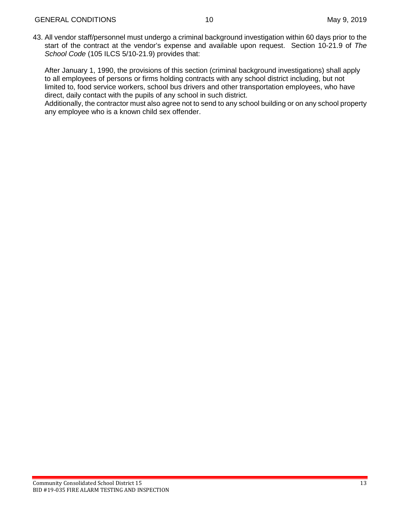43. All vendor staff/personnel must undergo a criminal background investigation within 60 days prior to the start of the contract at the vendor's expense and available upon request. Section 10-21.9 of *The School Code* (105 ILCS 5/10-21.9) provides that:

After January 1, 1990, the provisions of this section (criminal background investigations) shall apply to all employees of persons or firms holding contracts with any school district including, but not limited to, food service workers, school bus drivers and other transportation employees, who have direct, daily contact with the pupils of any school in such district.

Additionally, the contractor must also agree not to send to any school building or on any school property any employee who is a known child sex offender.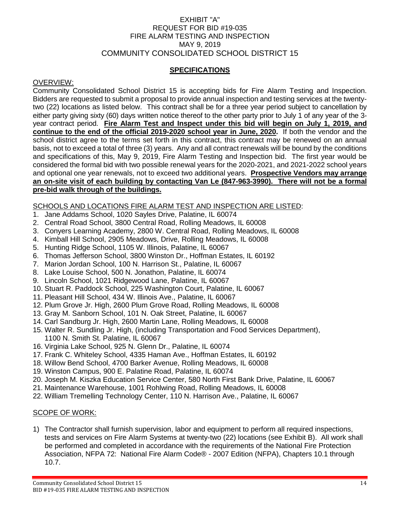## EXHIBIT "A" REQUEST FOR BID #19-035 FIRE ALARM TESTING AND INSPECTION MAY 9, 2019 COMMUNITY CONSOLIDATED SCHOOL DISTRICT 15

# **SPECIFICATIONS**

#### OVERVIEW:

Community Consolidated School District 15 is accepting bids for Fire Alarm Testing and Inspection. Bidders are requested to submit a proposal to provide annual inspection and testing services at the twentytwo (22) locations as listed below. This contract shall be for a three year period subject to cancellation by either party giving sixty (60) days written notice thereof to the other party prior to July 1 of any year of the 3 year contract period. **Fire Alarm Test and Inspect under this bid will begin on July 1, 2019, and continue to the end of the official 2019-2020 school year in June, 2020.** If both the vendor and the school district agree to the terms set forth in this contract, this contract may be renewed on an annual basis, not to exceed a total of three (3) years. Any and all contract renewals will be bound by the conditions and specifications of this, May 9, 2019, Fire Alarm Testing and Inspection bid. The first year would be considered the formal bid with two possible renewal years for the 2020-2021, and 2021-2022 school years and optional one year renewals, not to exceed two additional years. **Prospective Vendors may arrange an on-site visit of each building by contacting Van Le (847-963-3990). There will not be a formal pre-bid walk through of the buildings.**

#### SCHOOLS AND LOCATIONS FIRE ALARM TEST AND INSPECTION ARE LISTED:

- 1. Jane Addams School, 1020 Sayles Drive, Palatine, IL 60074
- 2. Central Road School, 3800 Central Road, Rolling Meadows, IL 60008
- 3. Conyers Learning Academy, 2800 W. Central Road, Rolling Meadows, IL 60008
- 4. Kimball Hill School, 2905 Meadows, Drive, Rolling Meadows, IL 60008
- 5. Hunting Ridge School, 1105 W. Illinois, Palatine, IL 60067
- 6. Thomas Jefferson School, 3800 Winston Dr., Hoffman Estates, IL 60192
- 7. Marion Jordan School, 100 N. Harrison St., Palatine, IL 60067
- 8. Lake Louise School, 500 N. Jonathon, Palatine, IL 60074
- 9. Lincoln School, 1021 Ridgewood Lane, Palatine, IL 60067
- 10. Stuart R. Paddock School, 225 Washington Court, Palatine, IL 60067
- 11. Pleasant Hill School, 434 W. Illinois Ave., Palatine, IL 60067
- 12. Plum Grove Jr. High, 2600 Plum Grove Road, Rolling Meadows, IL 60008
- 13. Gray M. Sanborn School, 101 N. Oak Street, Palatine, IL 60067
- 14. Carl Sandburg Jr. High, 2600 Martin Lane, Rolling Meadows, IL 60008
- 15. Walter R. Sundling Jr. High, (including Transportation and Food Services Department), 1100 N. Smith St. Palatine, IL 60067
- 16. Virginia Lake School, 925 N. Glenn Dr., Palatine, IL 60074
- 17. Frank C. Whiteley School, 4335 Haman Ave., Hoffman Estates, IL 60192
- 18. Willow Bend School, 4700 Barker Avenue, Rolling Meadows, IL 60008
- 19. Winston Campus, 900 E. Palatine Road, Palatine, IL 60074
- 20. Joseph M. Kiszka Education Service Center, 580 North First Bank Drive, Palatine, IL 60067
- 21. Maintenance Warehouse, 1001 Rohlwing Road, Rolling Meadows, IL 60008
- 22. William Tremelling Technology Center, 110 N. Harrison Ave., Palatine, IL 60067

#### SCOPE OF WORK:

1) The Contractor shall furnish supervision, labor and equipment to perform all required inspections, tests and services on Fire Alarm Systems at twenty-two (22) locations (see Exhibit B). All work shall be performed and completed in accordance with the requirements of the National Fire Protection Association, NFPA 72: National Fire Alarm Code® - 2007 Edition (NFPA), Chapters 10.1 through 10.7.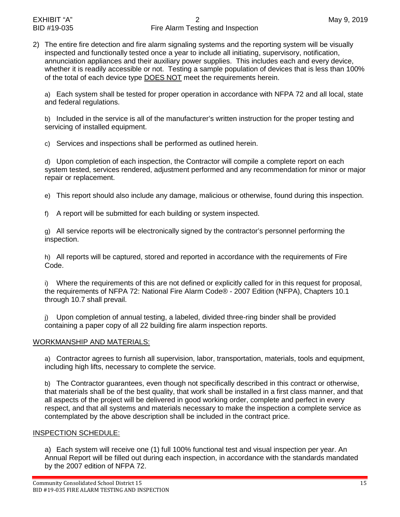2) The entire fire detection and fire alarm signaling systems and the reporting system will be visually inspected and functionally tested once a year to include all initiating, supervisory, notification, annunciation appliances and their auxiliary power supplies. This includes each and every device, whether it is readily accessible or not. Testing a sample population of devices that is less than 100% of the total of each device type DOES NOT meet the requirements herein.

a) Each system shall be tested for proper operation in accordance with NFPA 72 and all local, state and federal regulations.

b) Included in the service is all of the manufacturer's written instruction for the proper testing and servicing of installed equipment.

c) Services and inspections shall be performed as outlined herein.

d) Upon completion of each inspection, the Contractor will compile a complete report on each system tested, services rendered, adjustment performed and any recommendation for minor or major repair or replacement.

e) This report should also include any damage, malicious or otherwise, found during this inspection.

f) A report will be submitted for each building or system inspected.

g) All service reports will be electronically signed by the contractor's personnel performing the inspection.

h) All reports will be captured, stored and reported in accordance with the requirements of Fire Code.

i) Where the requirements of this are not defined or explicitly called for in this request for proposal, the requirements of NFPA 72: National Fire Alarm Code® - 2007 Edition (NFPA), Chapters 10.1 through 10.7 shall prevail.

j) Upon completion of annual testing, a labeled, divided three-ring binder shall be provided containing a paper copy of all 22 building fire alarm inspection reports.

### WORKMANSHIP AND MATERIALS:

a) Contractor agrees to furnish all supervision, labor, transportation, materials, tools and equipment, including high lifts, necessary to complete the service.

b) The Contractor guarantees, even though not specifically described in this contract or otherwise, that materials shall be of the best quality, that work shall be installed in a first class manner, and that all aspects of the project will be delivered in good working order, complete and perfect in every respect, and that all systems and materials necessary to make the inspection a complete service as contemplated by the above description shall be included in the contract price.

### INSPECTION SCHEDULE:

a) Each system will receive one (1) full 100% functional test and visual inspection per year. An Annual Report will be filled out during each inspection, in accordance with the standards mandated by the 2007 edition of NFPA 72.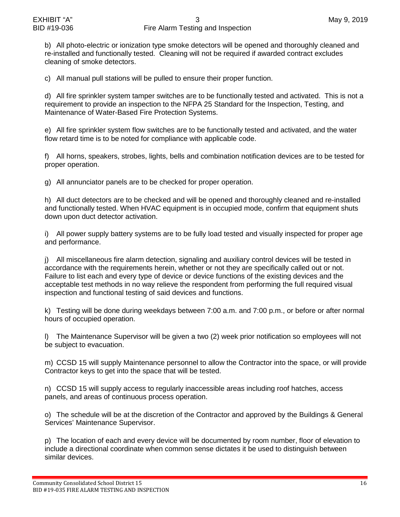b) All photo-electric or ionization type smoke detectors will be opened and thoroughly cleaned and re-installed and functionally tested. Cleaning will not be required if awarded contract excludes cleaning of smoke detectors.

c) All manual pull stations will be pulled to ensure their proper function.

d) All fire sprinkler system tamper switches are to be functionally tested and activated. This is not a requirement to provide an inspection to the NFPA 25 Standard for the Inspection, Testing, and Maintenance of Water-Based Fire Protection Systems.

e) All fire sprinkler system flow switches are to be functionally tested and activated, and the water flow retard time is to be noted for compliance with applicable code.

f) All horns, speakers, strobes, lights, bells and combination notification devices are to be tested for proper operation.

g) All annunciator panels are to be checked for proper operation.

h) All duct detectors are to be checked and will be opened and thoroughly cleaned and re-installed and functionally tested. When HVAC equipment is in occupied mode, confirm that equipment shuts down upon duct detector activation.

i) All power supply battery systems are to be fully load tested and visually inspected for proper age and performance.

j) All miscellaneous fire alarm detection, signaling and auxiliary control devices will be tested in accordance with the requirements herein, whether or not they are specifically called out or not. Failure to list each and every type of device or device functions of the existing devices and the acceptable test methods in no way relieve the respondent from performing the full required visual inspection and functional testing of said devices and functions.

k) Testing will be done during weekdays between 7:00 a.m. and 7:00 p.m., or before or after normal hours of occupied operation.

l) The Maintenance Supervisor will be given a two (2) week prior notification so employees will not be subject to evacuation.

m) CCSD 15 will supply Maintenance personnel to allow the Contractor into the space, or will provide Contractor keys to get into the space that will be tested.

n) CCSD 15 will supply access to regularly inaccessible areas including roof hatches, access panels, and areas of continuous process operation.

o) The schedule will be at the discretion of the Contractor and approved by the Buildings & General Services' Maintenance Supervisor.

p) The location of each and every device will be documented by room number, floor of elevation to include a directional coordinate when common sense dictates it be used to distinguish between similar devices.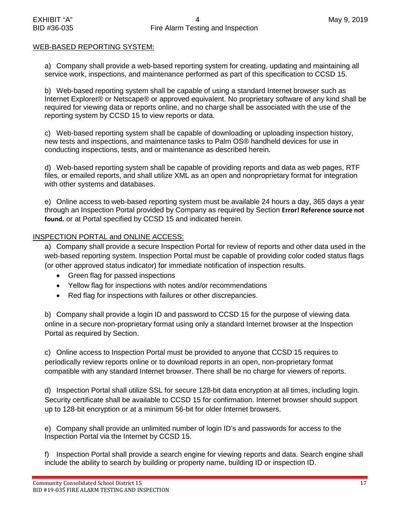### WEB-BASED REPORTING SYSTEM:

<span id="page-16-0"></span>a) Company shall provide a web-based reporting system for creating, updating and maintaining all service work, inspections, and maintenance performed as part of this specification to CCSD 15.

b) Web-based reporting system shall be capable of using a standard Internet browser such as Internet Explorer® or Netscape® or approved equivalent. No proprietary software of any kind shall be required for viewing data or reports online, and no charge shall be associated with the use of the reporting system by CCSD 15 to view reports or data.

c) Web-based reporting system shall be capable of downloading or uploading inspection history, new tests and inspections, and maintenance tasks to Palm OS® handheld devices for use in conducting inspections, tests, and or maintenance as described herein.

d) Web-based reporting system shall be capable of providing reports and data as web pages, RTF files, or emailed reports, and shall utilize XML as an open and nonproprietary format for integration with other systems and databases.

e) Online access to web-based reporting system must be available 24 hours a day, 365 days a year through an Inspection Portal provided by Company as required by Section **Error! Reference source not found.** or at Portal specified by CCSD 15 and indicated herein.

## INSPECTION PORTAL and ONLINE ACCESS:

a) Company shall provide a secure Inspection Portal for review of reports and other data used in the web-based reporting system. Inspection Portal must be capable of providing color coded status flags (or other approved status indicator) for immediate notification of inspection results.

- Green flag for passed inspections
- Yellow flag for inspections with notes and/or recommendations
- Red flag for inspections with failures or other discrepancies.

b) Company shall provide a login ID and password to CCSD 15 for the purpose of viewing data online in a secure non-proprietary format using only a standard Internet browser at the Inspection Portal as required by Section.

c) Online access to Inspection Portal must be provided to anyone that CCSD 15 requires to periodically review reports online or to download reports in an open, non-proprietary format compatible with any standard Internet browser. There shall be no charge for viewers of reports.

d) Inspection Portal shall utilize SSL for secure 128-bit data encryption at all times, including login. Security certificate shall be available to CCSD 15 for confirmation. Internet browser should support up to 128-bit encryption or at a minimum 56-bit for older Internet browsers.

e) Company shall provide an unlimited number of login ID's and passwords for access to the Inspection Portal via the Internet by CCSD 15.

f) Inspection Portal shall provide a search engine for viewing reports and data. Search engine shall include the ability to search by building or property name, building ID or inspection ID.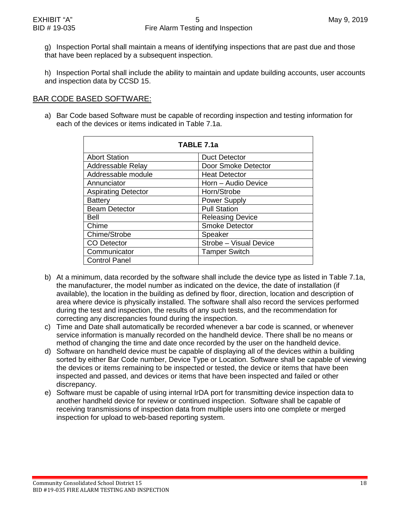g) Inspection Portal shall maintain a means of identifying inspections that are past due and those that have been replaced by a subsequent inspection.

h) Inspection Portal shall include the ability to maintain and update building accounts, user accounts and inspection data by CCSD 15.

# BAR CODE BASED SOFTWARE:

a) Bar Code based Software must be capable of recording inspection and testing information for each of the devices or items indicated in Table 7.1a.

| TABLE 7.1a                 |                         |  |  |  |
|----------------------------|-------------------------|--|--|--|
| <b>Abort Station</b>       | <b>Duct Detector</b>    |  |  |  |
| Addressable Relay          | Door Smoke Detector     |  |  |  |
| Addressable module         | <b>Heat Detector</b>    |  |  |  |
| Annunciator                | Horn - Audio Device     |  |  |  |
| <b>Aspirating Detector</b> | Horn/Strobe             |  |  |  |
| <b>Battery</b>             | <b>Power Supply</b>     |  |  |  |
| <b>Beam Detector</b>       | <b>Pull Station</b>     |  |  |  |
| <b>Bell</b>                | <b>Releasing Device</b> |  |  |  |
| Chime                      | <b>Smoke Detector</b>   |  |  |  |
| Chime/Strobe               | Speaker                 |  |  |  |
| <b>CO</b> Detector         | Strobe - Visual Device  |  |  |  |
| Communicator               | <b>Tamper Switch</b>    |  |  |  |
| <b>Control Panel</b>       |                         |  |  |  |

- b) At a minimum, data recorded by the software shall include the device type as listed in Table 7.1a, the manufacturer, the model number as indicated on the device, the date of installation (if available), the location in the building as defined by floor, direction, location and description of area where device is physically installed. The software shall also record the services performed during the test and inspection, the results of any such tests, and the recommendation for correcting any discrepancies found during the inspection.
- c) Time and Date shall automatically be recorded whenever a bar code is scanned, or whenever service information is manually recorded on the handheld device. There shall be no means or method of changing the time and date once recorded by the user on the handheld device.
- d) Software on handheld device must be capable of displaying all of the devices within a building sorted by either Bar Code number, Device Type or Location. Software shall be capable of viewing the devices or items remaining to be inspected or tested, the device or items that have been inspected and passed, and devices or items that have been inspected and failed or other discrepancy.
- e) Software must be capable of using internal IrDA port for transmitting device inspection data to another handheld device for review or continued inspection. Software shall be capable of receiving transmissions of inspection data from multiple users into one complete or merged inspection for upload to web-based reporting system.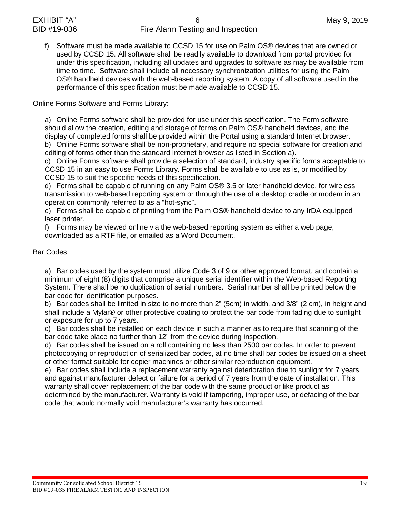f) Software must be made available to CCSD 15 for use on Palm OS® devices that are owned or used by CCSD 15. All software shall be readily available to download from portal provided for under this specification, including all updates and upgrades to software as may be available from time to time. Software shall include all necessary synchronization utilities for using the Palm OS® handheld devices with the web-based reporting system. A copy of all software used in the performance of this specification must be made available to CCSD 15.

Online Forms Software and Forms Library:

a) Online Forms software shall be provided for use under this specification. The Form software should allow the creation, editing and storage of forms on Palm OS® handheld devices, and the display of completed forms shall be provided within the Portal using a standard Internet browser. b) Online Forms software shall be non-proprietary, and require no special software for creation and

editing of forms other than the standard Internet browser as listed in Section [a\).](#page-16-0)

c) Online Forms software shall provide a selection of standard, industry specific forms acceptable to CCSD 15 in an easy to use Forms Library. Forms shall be available to use as is, or modified by CCSD 15 to suit the specific needs of this specification.

d) Forms shall be capable of running on any Palm OS® 3.5 or later handheld device, for wireless transmission to web-based reporting system or through the use of a desktop cradle or modem in an operation commonly referred to as a "hot-sync".

e) Forms shall be capable of printing from the Palm OS® handheld device to any IrDA equipped laser printer.

f) Forms may be viewed online via the web-based reporting system as either a web page, downloaded as a RTF file, or emailed as a Word Document.

# Bar Codes:

a) Bar codes used by the system must utilize Code 3 of 9 or other approved format, and contain a minimum *o*f eight (8) digits that comprise a unique serial identifier within the Web-based Reporting System. There shall be no duplication of serial numbers. Serial number shall be printed below the bar code for identification purposes.

b) Bar codes shall be limited in size to no more than 2" (5cm) in width, and 3/8" (2 cm), in height and shall include a Mylar® or other protective coating to protect the bar code from fading due to sunlight or exposure for up to 7 years.

c) Bar codes shall be installed on each device in such a manner as to require that scanning of the bar code take place no further than 12" from the device during inspection.

d) Bar codes shall be issued on a roll containing no less than 2500 bar codes. In order to prevent photocopying or reproduction of serialized bar codes, at no time shall bar codes be issued on a sheet or other format suitable for copier machines or other similar reproduction equipment.

e) Bar codes shall include a replacement warranty against deterioration due to sunlight for 7 years, and against manufacturer defect or failure for a period of 7 years from the date of installation. This warranty shall cover replacement of the bar code with the same product or like product as determined by the manufacturer. Warranty is void if tampering, improper use, or defacing of the bar code that would normally void manufacturer's warranty has occurred.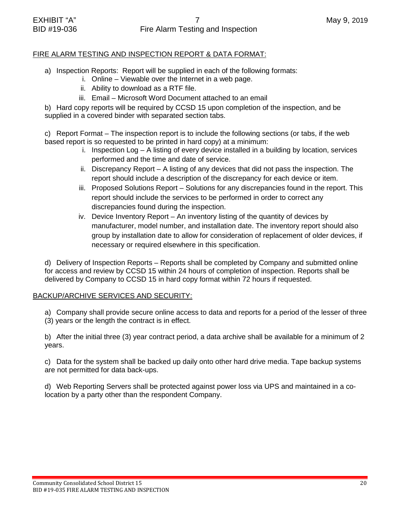# FIRE ALARM TESTING AND INSPECTION REPORT & DATA FORMAT:

- a) Inspection Reports: Report will be supplied in each of the following formats:
	- i. Online Viewable over the Internet in a web page.
	- ii. Ability to download as a RTF file.
	- iii. Email Microsoft Word Document attached to an email

b) Hard copy reports will be required by CCSD 15 upon completion of the inspection, and be supplied in a covered binder with separated section tabs.

c) Report Format – The inspection report is to include the following sections (or tabs, if the web based report is so requested to be printed in hard copy) at a minimum:

- i. Inspection Log A listing of every device installed in a building by location, services performed and the time and date of service.
- ii. Discrepancy Report A listing of any devices that did not pass the inspection. The report should include a description of the discrepancy for each device or item.
- iii. Proposed Solutions Report Solutions for any discrepancies found in the report. This report should include the services to be performed in order to correct any discrepancies found during the inspection.
- iv. Device Inventory Report An inventory listing of the quantity of devices by manufacturer, model number, and installation date. The inventory report should also group by installation date to allow for consideration of replacement of older devices, if necessary or required elsewhere in this specification.

d) Delivery of Inspection Reports – Reports shall be completed by Company and submitted online for access and review by CCSD 15 within 24 hours of completion of inspection. Reports shall be delivered by Company to CCSD 15 in hard copy format within 72 hours if requested.

# BACKUP/ARCHIVE SERVICES AND SECURITY:

a) Company shall provide secure online access to data and reports for a period of the lesser of three (3) years or the length the contract is in effect.

b) After the initial three (3) year contract period, a data archive shall be available for a minimum of 2 years.

c) Data for the system shall be backed up daily onto other hard drive media. Tape backup systems are not permitted for data back-ups.

d) Web Reporting Servers shall be protected against power loss via UPS and maintained in a colocation by a party other than the respondent Company.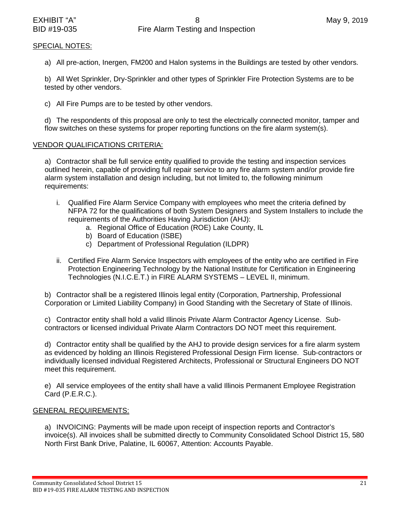# SPECIAL NOTES:

a) All pre-action, Inergen, FM200 and Halon systems in the Buildings are tested by other vendors.

b) All Wet Sprinkler, Dry-Sprinkler and other types of Sprinkler Fire Protection Systems are to be tested by other vendors.

c) All Fire Pumps are to be tested by other vendors.

d) The respondents of this proposal are only to test the electrically connected monitor, tamper and flow switches on these systems for proper reporting functions on the fire alarm system(s).

# VENDOR QUALIFICATIONS CRITERIA:

a) Contractor shall be full service entity qualified to provide the testing and inspection services outlined herein, capable of providing full repair service to any fire alarm system and/or provide fire alarm system installation and design including, but not limited to, the following minimum requirements:

- i. Qualified Fire Alarm Service Company with employees who meet the criteria defined by NFPA 72 for the qualifications of both System Designers and System Installers to include the requirements of the Authorities Having Jurisdiction (AHJ):
	- a. Regional Office of Education (ROE) Lake County, IL
	- b) Board of Education (ISBE)
	- c) Department of Professional Regulation (ILDPR)
- ii. Certified Fire Alarm Service Inspectors with employees of the entity who are certified in Fire Protection Engineering Technology by the National Institute for Certification in Engineering Technologies (N.I.C.E.T.) in FIRE ALARM SYSTEMS – LEVEL II, minimum.

b) Contractor shall be a registered Illinois legal entity (Corporation, Partnership, Professional Corporation or Limited Liability Company) in Good Standing with the Secretary of State of Illinois.

c) Contractor entity shall hold a valid Illinois Private Alarm Contractor Agency License. Subcontractors or licensed individual Private Alarm Contractors DO NOT meet this requirement.

d) Contractor entity shall be qualified by the AHJ to provide design services for a fire alarm system as evidenced by holding an Illinois Registered Professional Design Firm license. Sub-contractors or individually licensed individual Registered Architects, Professional or Structural Engineers DO NOT meet this requirement.

e) All service employees of the entity shall have a valid Illinois Permanent Employee Registration Card (P.E.R.C.).

# GENERAL REQUIREMENTS:

a) INVOICING: Payments will be made upon receipt of inspection reports and Contractor's invoice(s). All invoices shall be submitted directly to Community Consolidated School District 15, 580 North First Bank Drive, Palatine, IL 60067, Attention: Accounts Payable.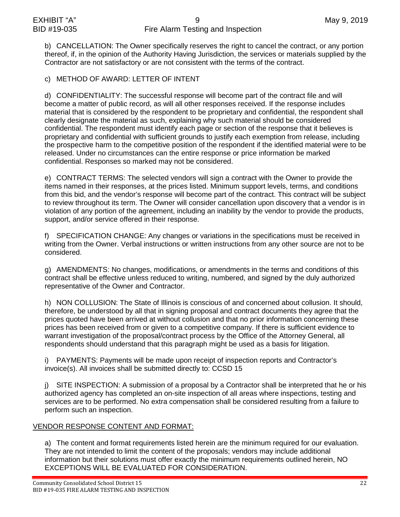b) CANCELLATION: The Owner specifically reserves the right to cancel the contract, or any portion thereof, if, in the opinion of the Authority Having Jurisdiction, the services or materials supplied by the Contractor are not satisfactory or are not consistent with the terms of the contract.

c) METHOD OF AWARD: LETTER OF INTENT

d) CONFIDENTIALITY: The successful response will become part of the contract file and will become a matter of public record, as will all other responses received. If the response includes material that is considered by the respondent to be proprietary and confidential, the respondent shall clearly designate the material as such, explaining why such material should be considered confidential. The respondent must identify each page or section of the response that it believes is proprietary and confidential with sufficient grounds to justify each exemption from release, including the prospective harm to the competitive position of the respondent if the identified material were to be released. Under no circumstances can the entire response or price information be marked confidential. Responses so marked may not be considered.

e) CONTRACT TERMS: The selected vendors will sign a contract with the Owner to provide the items named in their responses, at the prices listed. Minimum support levels, terms, and conditions from this bid, and the vendor's response will become part of the contract. This contract will be subject to review throughout its term. The Owner will consider cancellation upon discovery that a vendor is in violation of any portion of the agreement, including an inability by the vendor to provide the products, support, and/or service offered in their response.

f) SPECIFICATION CHANGE: Any changes or variations in the specifications must be received in writing from the Owner. Verbal instructions or written instructions from any other source are not to be considered.

g) AMENDMENTS: No changes, modifications, or amendments in the terms and conditions of this contract shall be effective unless reduced to writing, numbered, and signed by the duly authorized representative of the Owner and Contractor.

h) NON COLLUSION: The State of Illinois is conscious of and concerned about collusion. It should, therefore, be understood by all that in signing proposal and contract documents they agree that the prices quoted have been arrived at without collusion and that no prior information concerning these prices has been received from or given to a competitive company. If there is sufficient evidence to warrant investigation of the proposal/contract process by the Office of the Attorney General, all respondents should understand that this paragraph might be used as a basis for litigation.

i) PAYMENTS: Payments will be made upon receipt of inspection reports and Contractor's invoice(s). All invoices shall be submitted directly to: CCSD 15

j) SITE INSPECTION: A submission of a proposal by a Contractor shall be interpreted that he or his authorized agency has completed an on-site inspection of all areas where inspections, testing and services are to be performed. No extra compensation shall be considered resulting from a failure to perform such an inspection.

# VENDOR RESPONSE CONTENT AND FORMAT:

a) The content and format requirements listed herein are the minimum required for our evaluation. They are not intended to limit the content of the proposals; vendors may include additional information but their solutions must offer exactly the minimum requirements outlined herein, NO EXCEPTIONS WILL BE EVALUATED FOR CONSIDERATION.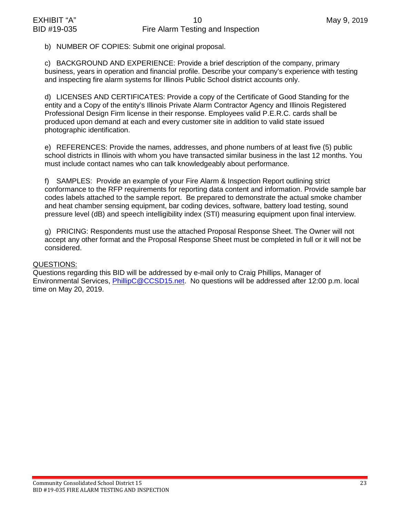b) NUMBER OF COPIES: Submit one original proposal.

c) BACKGROUND AND EXPERIENCE: Provide a brief description of the company, primary business, years in operation and financial profile. Describe your company's experience with testing and inspecting fire alarm systems for Illinois Public School district accounts only.

d) LICENSES AND CERTIFICATES: Provide a copy of the Certificate of Good Standing for the entity and a Copy of the entity's Illinois Private Alarm Contractor Agency and Illinois Registered Professional Design Firm license in their response. Employees valid P.E.R.C. cards shall be produced upon demand at each and every customer site in addition to valid state issued photographic identification.

e) REFERENCES: Provide the names, addresses, and phone numbers of at least five (5) public school districts in Illinois with whom you have transacted similar business in the last 12 months. You must include contact names who can talk knowledgeably about performance.

f) SAMPLES: Provide an example of your Fire Alarm & Inspection Report outlining strict conformance to the RFP requirements for reporting data content and information. Provide sample bar codes labels attached to the sample report. Be prepared to demonstrate the actual smoke chamber and heat chamber sensing equipment, bar coding devices, software, battery load testing, sound pressure level (dB) and speech intelligibility index (STI) measuring equipment upon final interview.

g) PRICING: Respondents must use the attached Proposal Response Sheet. The Owner will not accept any other format and the Proposal Response Sheet must be completed in full or it will not be considered.

### QUESTIONS:

Questions regarding this BID will be addressed by e-mail only to Craig Phillips, Manager of Environmental Services, [PhillipC@CCSD15.net.](mailto:PhillipC@CCSD15.net) No questions will be addressed after 12:00 p.m. local time on May 20, 2019.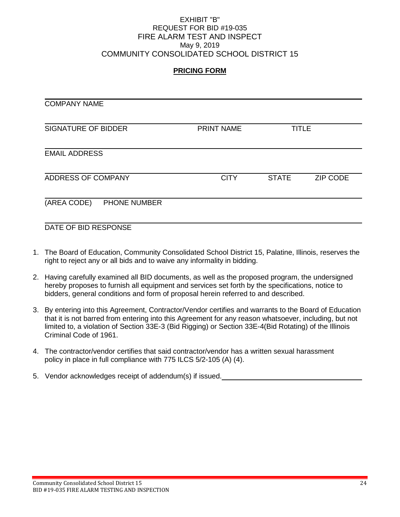### EXHIBIT "B" REQUEST FOR BID #19-035 FIRE ALARM TEST AND INSPECT May 9, 2019 COMMUNITY CONSOLIDATED SCHOOL DISTRICT 15

# **PRICING FORM**

| <b>COMPANY NAME</b>         |             |              |                 |
|-----------------------------|-------------|--------------|-----------------|
| <b>SIGNATURE OF BIDDER</b>  | PRINT NAME  | <b>TITLE</b> |                 |
| <b>EMAIL ADDRESS</b>        |             |              |                 |
| ADDRESS OF COMPANY          | <b>CITY</b> | <b>STATE</b> | <b>ZIP CODE</b> |
| (AREA CODE)<br>PHONE NUMBER |             |              |                 |

DATE OF BID RESPONSE

- 1. The Board of Education, Community Consolidated School District 15, Palatine, Illinois, reserves the right to reject any or all bids and to waive any informality in bidding.
- 2. Having carefully examined all BID documents, as well as the proposed program, the undersigned hereby proposes to furnish all equipment and services set forth by the specifications, notice to bidders, general conditions and form of proposal herein referred to and described.
- 3. By entering into this Agreement, Contractor/Vendor certifies and warrants to the Board of Education that it is not barred from entering into this Agreement for any reason whatsoever, including, but not limited to, a violation of Section 33E-3 (Bid Rigging) or Section 33E-4(Bid Rotating) of the Illinois Criminal Code of 1961.
- 4. The contractor/vendor certifies that said contractor/vendor has a written sexual harassment policy in place in full compliance with 775 ILCS 5/2-105 (A) (4).

5. Vendor acknowledges receipt of addendum(s) if issued.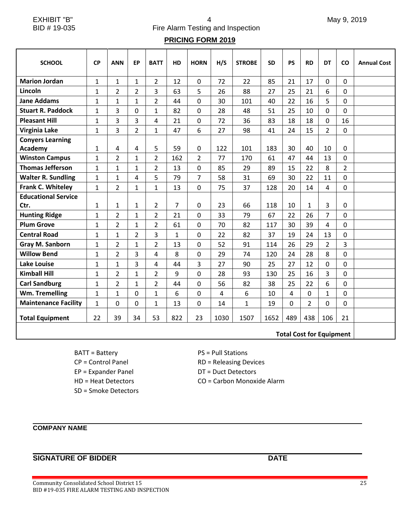EXHIBIT "B" 1 May 9, 2019 BID # 19-035 Fire Alarm Testing and Inspection

# **PRICING FORM 2019**

| <b>SCHOOL</b>               | <b>CP</b>    | <b>ANN</b>     | <b>EP</b>      | <b>BATT</b>    | HD             | <b>HORN</b>    | H/S  | <b>STROBE</b> | <b>SD</b> | <b>PS</b> | <b>RD</b>      | <b>DT</b>      | CO             | <b>Annual Cost</b> |
|-----------------------------|--------------|----------------|----------------|----------------|----------------|----------------|------|---------------|-----------|-----------|----------------|----------------|----------------|--------------------|
| <b>Marion Jordan</b>        | 1            | $\mathbf{1}$   | 1              | $\overline{2}$ | 12             | 0              | 72   | 22            | 85        | 21        | 17             | 0              | $\mathbf 0$    |                    |
| Lincoln                     | 1            | $\overline{2}$ | $\overline{2}$ | 3              | 63             | 5              | 26   | 88            | 27        | 25        | 21             | 6              | $\mathbf 0$    |                    |
| <b>Jane Addams</b>          | $\mathbf{1}$ | $\mathbf{1}$   | $\mathbf{1}$   | $\overline{2}$ | 44             | 0              | 30   | 101           | 40        | 22        | 16             | 5              | $\Omega$       |                    |
| <b>Stuart R. Paddock</b>    | $\mathbf{1}$ | 3              | 0              | $\mathbf{1}$   | 82             | 0              | 28   | 48            | 51        | 25        | 10             | $\Omega$       | $\Omega$       |                    |
| <b>Pleasant Hill</b>        | $\mathbf{1}$ | 3              | 3              | 4              | 21             | 0              | 72   | 36            | 83        | 18        | 18             | $\Omega$       | 16             |                    |
| Virginia Lake               | $\mathbf{1}$ | 3              | $\overline{2}$ | $\mathbf{1}$   | 47             | 6              | 27   | 98            | 41        | 24        | 15             | $\overline{2}$ | $\mathbf 0$    |                    |
| <b>Conyers Learning</b>     |              |                |                |                |                |                |      |               |           |           |                |                |                |                    |
| Academy                     | 1            | 4              | 4              | 5              | 59             | 0              | 122  | 101           | 183       | 30        | 40             | 10             | $\mathbf 0$    |                    |
| <b>Winston Campus</b>       | $\mathbf{1}$ | $\overline{2}$ | 1              | $\overline{2}$ | 162            | $\overline{2}$ | 77   | 170           | 61        | 47        | 44             | 13             | $\mathbf 0$    |                    |
| <b>Thomas Jefferson</b>     | $\mathbf{1}$ | $\mathbf{1}$   | $\mathbf{1}$   | $\overline{2}$ | 13             | 0              | 85   | 29            | 89        | 15        | 22             | 8              | $\overline{2}$ |                    |
| <b>Walter R. Sundling</b>   | 1            | $\mathbf{1}$   | 4              | 5              | 79             | $\overline{7}$ | 58   | 31            | 69        | 30        | 22             | 11             | $\Omega$       |                    |
| Frank C. Whiteley           | $\mathbf{1}$ | $\overline{2}$ | $\mathbf{1}$   | $\mathbf{1}$   | 13             | 0              | 75   | 37            | 128       | 20        | 14             | 4              | $\Omega$       |                    |
| <b>Educational Service</b>  |              |                |                |                |                |                |      |               |           |           |                |                |                |                    |
| Ctr.                        | 1            | $\mathbf{1}$   | 1              | $\overline{2}$ | $\overline{7}$ | 0              | 23   | 66            | 118       | 10        | $\mathbf{1}$   | 3              | $\mathbf 0$    |                    |
| <b>Hunting Ridge</b>        | 1            | $\overline{2}$ | 1              | 2              | 21             | 0              | 33   | 79            | 67        | 22        | 26             | 7              | $\mathbf 0$    |                    |
| <b>Plum Grove</b>           | $\mathbf{1}$ | $\overline{2}$ | $\mathbf{1}$   | $\overline{2}$ | 61             | 0              | 70   | 82            | 117       | 30        | 39             | 4              | $\Omega$       |                    |
| <b>Central Road</b>         | $\mathbf{1}$ | $\mathbf{1}$   | $\overline{2}$ | 3              | 1              | 0              | 22   | 82            | 37        | 19        | 24             | 13             | $\mathbf{0}$   |                    |
| Gray M. Sanborn             | 1            | $\overline{2}$ | $\mathbf{1}$   | $\overline{2}$ | 13             | 0              | 52   | 91            | 114       | 26        | 29             | $\overline{2}$ | 3              |                    |
| <b>Willow Bend</b>          | 1            | $\overline{2}$ | 3              | 4              | 8              | 0              | 29   | 74            | 120       | 24        | 28             | 8              | $\mathbf 0$    |                    |
| <b>Lake Louise</b>          | $\mathbf{1}$ | $\mathbf{1}$   | 3              | 4              | 44             | 3              | 27   | 90            | 25        | 27        | 12             | 0              | $\mathbf 0$    |                    |
| <b>Kimball Hill</b>         | $\mathbf{1}$ | $\overline{2}$ | $\mathbf{1}$   | $\overline{2}$ | 9              | 0              | 28   | 93            | 130       | 25        | 16             | 3              | $\Omega$       |                    |
| <b>Carl Sandburg</b>        | $\mathbf{1}$ | $\overline{2}$ | $\mathbf{1}$   | $\overline{2}$ | 44             | 0              | 56   | 82            | 38        | 25        | 22             | 6              | $\mathbf{0}$   |                    |
| <b>Wm. Tremelling</b>       | 1            | $\mathbf{1}$   | 0              | $\mathbf{1}$   | 6              | 0              | 4    | 6             | 10        | 4         | 0              | $\mathbf{1}$   | $\mathbf 0$    |                    |
| <b>Maintenance Facility</b> | 1            | 0              | 0              | 1              | 13             | 0              | 14   | 1             | 19        | 0         | $\overline{2}$ | 0              | 0              |                    |
| <b>Total Equipment</b>      | 22           | 39             | 34             | 53             | 822            | 23             | 1030 | 1507          | 1652      | 489       | 438            | 106            | 21             |                    |

**Total Cost for Equipment**

BATT = Battery extending PS = Pull Stations CP = Control Panel RD = Releasing Devices EP = Expander Panel DT = Duct Detectors SD = Smoke Detectors

HD = Heat Detectors CO = Carbon Monoxide Alarm

# **COMPANY NAME**

# **SIGNATURE OF BIDDER DATE**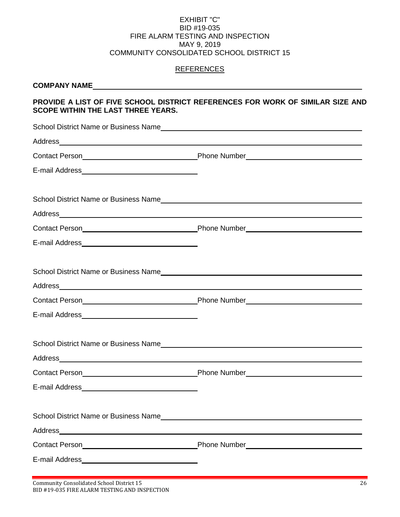### EXHIBIT "C" BID #19-035 FIRE ALARM TESTING AND INSPECTION MAY 9, 2019 COMMUNITY CONSOLIDATED SCHOOL DISTRICT 15

# **REFERENCES**

| <b>SCOPE WITHIN THE LAST THREE YEARS.</b> | PROVIDE A LIST OF FIVE SCHOOL DISTRICT REFERENCES FOR WORK OF SIMILAR SIZE AND                                                                                                                                                 |
|-------------------------------------------|--------------------------------------------------------------------------------------------------------------------------------------------------------------------------------------------------------------------------------|
|                                           | School District Name or Business Name                                                                                                                                                                                          |
|                                           | Address and the contract of the contract of the contract of the contract of the contract of the contract of the contract of the contract of the contract of the contract of the contract of the contract of the contract of th |
|                                           |                                                                                                                                                                                                                                |
|                                           |                                                                                                                                                                                                                                |
|                                           | School District Name or Business Name                                                                                                                                                                                          |
|                                           |                                                                                                                                                                                                                                |
|                                           |                                                                                                                                                                                                                                |
|                                           |                                                                                                                                                                                                                                |
|                                           | Address and the contract of the contract of the contract of the contract of the contract of the contract of the contract of the contract of the contract of the contract of the contract of the contract of the contract of th |
|                                           |                                                                                                                                                                                                                                |
| E-mail Address <b>Communication</b>       |                                                                                                                                                                                                                                |
|                                           | School District Name or Business Name<br>School District Name or Business Name                                                                                                                                                 |
| <b>Contact Person</b>                     | Phone Number                                                                                                                                                                                                                   |
|                                           |                                                                                                                                                                                                                                |
|                                           |                                                                                                                                                                                                                                |
|                                           |                                                                                                                                                                                                                                |
|                                           |                                                                                                                                                                                                                                |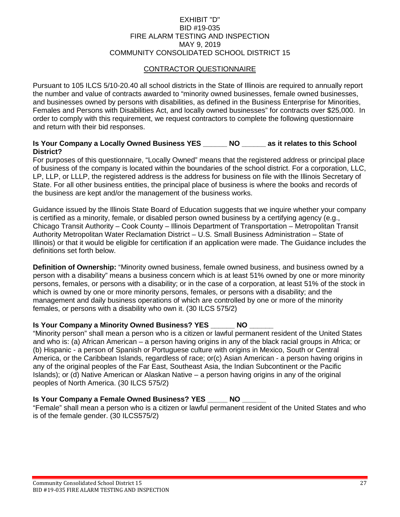### EXHIBIT "D" BID #19-035 FIRE ALARM TESTING AND INSPECTION MAY 9, 2019 COMMUNITY CONSOLIDATED SCHOOL DISTRICT 15

# CONTRACTOR QUESTIONNAIRE

Pursuant to 105 ILCS 5/10-20.40 all school districts in the State of Illinois are required to annually report the number and value of contracts awarded to "minority owned businesses, female owned businesses, and businesses owned by persons with disabilities, as defined in the Business Enterprise for Minorities, Females and Persons with Disabilities Act, and locally owned businesses" for contracts over \$25,000. In order to comply with this requirement, we request contractors to complete the following questionnaire and return with their bid responses.

#### **Is Your Company a Locally Owned Business YES \_\_\_\_\_\_ NO \_\_\_\_\_\_ as it relates to this School District?**

For purposes of this questionnaire, "Locally Owned" means that the registered address or principal place of business of the company is located within the boundaries of the school district. For a corporation, LLC, LP, LLP, or LLLP, the registered address is the address for business on file with the Illinois Secretary of State. For all other business entities, the principal place of business is where the books and records of the business are kept and/or the management of the business works.

Guidance issued by the Illinois State Board of Education suggests that we inquire whether your company is certified as a minority, female, or disabled person owned business by a certifying agency (e.g., Chicago Transit Authority – Cook County – Illinois Department of Transportation – Metropolitan Transit Authority Metropolitan Water Reclamation District – U.S. Small Business Administration – State of Illinois) or that it would be eligible for certification if an application were made. The Guidance includes the definitions set forth below.

**Definition of Ownership:** "Minority owned business, female owned business, and business owned by a person with a disability" means a business concern which is at least 51% owned by one or more minority persons, females, or persons with a disability; or in the case of a corporation, at least 51% of the stock in which is owned by one or more minority persons, females, or persons with a disability; and the management and daily business operations of which are controlled by one or more of the minority females, or persons with a disability who own it. (30 ILCS 575/2)

### **Is Your Company a Minority Owned Business? YES \_\_\_\_\_\_ NO**

"Minority person" shall mean a person who is a citizen or lawful permanent resident of the United States and who is: (a) African American – a person having origins in any of the black racial groups in Africa; or (b) Hispanic - a person of Spanish or Portuguese culture with origins in Mexico, South or Central America, or the Caribbean Islands, regardless of race; or(c) Asian American - a person having origins in any of the original peoples of the Far East, Southeast Asia, the Indian Subcontinent or the Pacific Islands); or (d) Native American or Alaskan Native – a person having origins in any of the original peoples of North America. (30 ILCS 575/2)

# **Is Your Company a Female Owned Business? YES \_\_\_\_\_ NO \_\_\_\_\_\_**

"Female" shall mean a person who is a citizen or lawful permanent resident of the United States and who is of the female gender. (30 ILCS575/2)